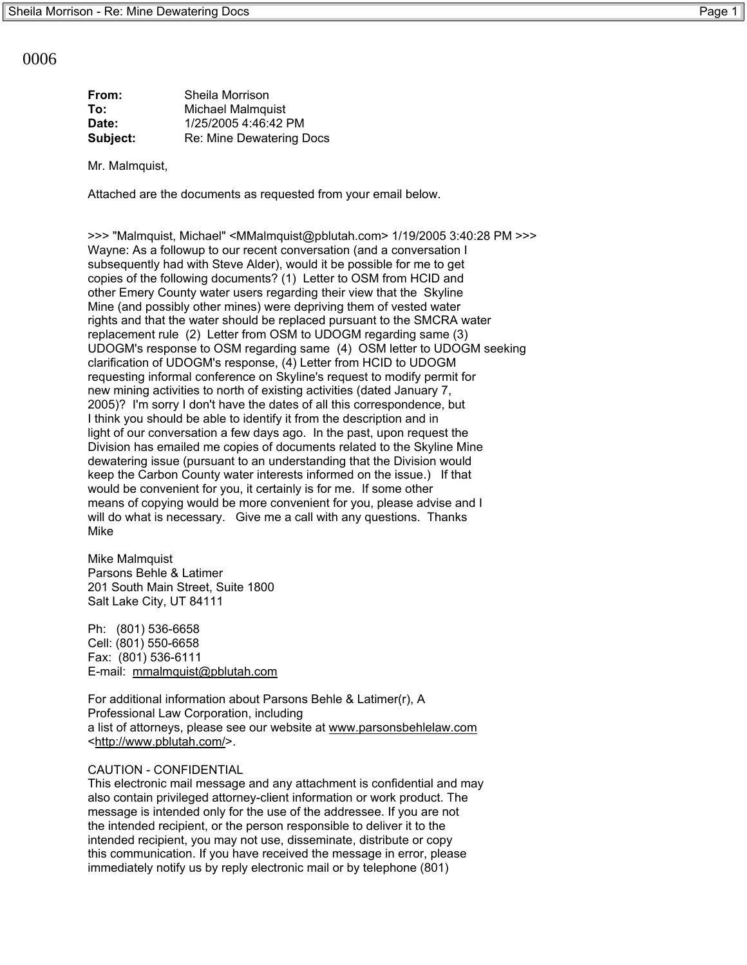0006

| From:    | Sheila Morrison          |
|----------|--------------------------|
| To:      | <b>Michael Malmquist</b> |
| Date:    | 1/25/2005 4:46:42 PM     |
| Subject: | Re: Mine Dewatering Docs |
|          |                          |

Mr. Malmquist,

Attached are the documents as requested from your email below.

>>> "Malmquist, Michael" <MMalmquist@pblutah.com> 1/19/2005 3:40:28 PM >>> Wayne: As a followup to our recent conversation (and a conversation I subsequently had with Steve Alder), would it be possible for me to get copies of the following documents? (1) Letter to OSM from HCID and other Emery County water users regarding their view that the Skyline Mine (and possibly other mines) were depriving them of vested water rights and that the water should be replaced pursuant to the SMCRA water replacement rule (2) Letter from OSM to UDOGM regarding same (3) UDOGM's response to OSM regarding same (4) OSM letter to UDOGM seeking clarification of UDOGM's response, (4) Letter from HCID to UDOGM requesting informal conference on Skyline's request to modify permit for new mining activities to north of existing activities (dated January 7, 2005)? I'm sorry I don't have the dates of all this correspondence, but I think you should be able to identify it from the description and in light of our conversation a few days ago. In the past, upon request the Division has emailed me copies of documents related to the Skyline Mine dewatering issue (pursuant to an understanding that the Division would keep the Carbon County water interests informed on the issue.) If that would be convenient for you, it certainly is for me. If some other means of copying would be more convenient for you, please advise and I will do what is necessary. Give me a call with any questions. Thanks Mike

Mike Malmquist Parsons Behle & Latimer 201 South Main Street, Suite 1800 Salt Lake City, UT 84111

Ph: (801) 536-6658 Cell: (801) 550-6658 Fax: (801) 536-6111 E-mail: mmalmquist@pblutah.com

For additional information about Parsons Behle & Latimer(r), A Professional Law Corporation, including a list of attorneys, please see our website at www.parsonsbehlelaw.com <http://www.pblutah.com/>.

## CAUTION - CONFIDENTIAL

This electronic mail message and any attachment is confidential and may also contain privileged attorney-client information or work product. The message is intended only for the use of the addressee. If you are not the intended recipient, or the person responsible to deliver it to the intended recipient, you may not use, disseminate, distribute or copy this communication. If you have received the message in error, please immediately notify us by reply electronic mail or by telephone (801)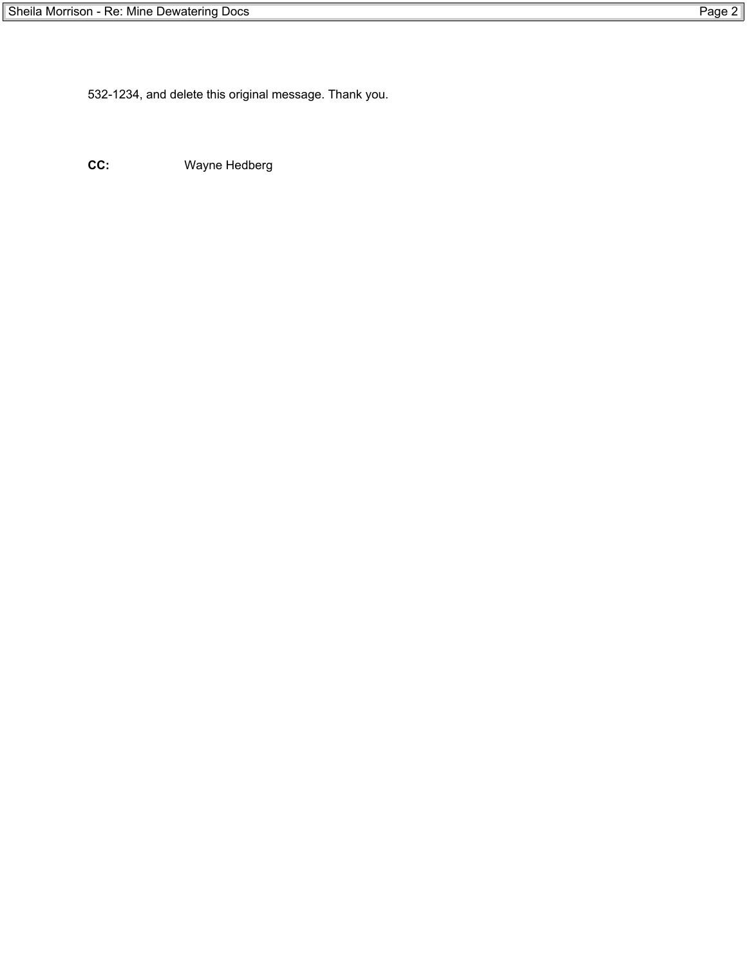532-1234, and delete this original message. Thank you.

**CC:** Wayne Hedberg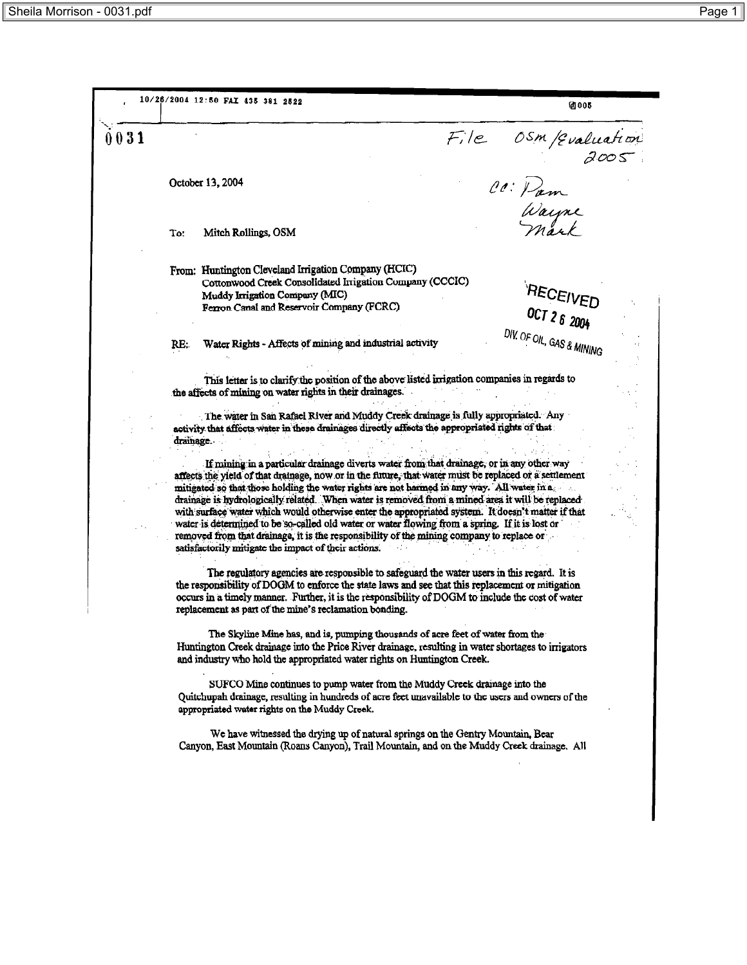10/26/2004 12:50 FAX 435 381 2522 **21005** File OSM/qualuation<br>2005<br>CC: Pam<br>Wayne  $0031$ October 13, 2004 Mitch Rollings, OSM Τ٥. From: Huntington Cleveland Irrigation Company (HCIC) Cottonwood Creek Consolidated Irrigation Company (CCCIC) RECEIVED Muddy Irrigation Company (MIC) Ferron Canal and Reservoir Company (FCRC) OCT 2 6 2004 DIV. OF OIL, GAS & MINING Water Rights - Affects of mining and industrial activity RE: This letter is to clarify the position of the above listed irrigation companies in regards to the affects of mining on water rights in their drainages. The water in San Rafael River and Muddy Creek drainage is fully appropriated. Any activity that affects water in these drainages directly affects the appropriated rights of that drainage. If mining in a particular drainage diverts water from that drainage, or in any other way affects the yield of that drainage, now or in the future, that water must be replaced or a settlement mitigated so that those holding the water rights are not harmed in any way. All water in a drainage is hydrologically related. When water is removed from a mined area it will be replaced with surface water which would otherwise enter the appropriated system. It doesn't matter if that water is determined to be so-called old water or water flowing from a spring. If it is lost or removed from that drainage, it is the responsibility of the mining company to replace or satisfactorily mitigate the impact of their actions. The regulatory agencies are responsible to safeguard the water users in this regard. It is the responsibility of DOGM to enforce the state laws and see that this replacement or mitigation occurs in a timely manner. Further, it is the responsibility of DOGM to include the cost of water replacement as part of the mine's reclamation bonding. The Skyline Mine has, and is, pumping thousands of acre feet of water from the Huntington Creek drainage into the Price River drainage, resulting in water shortages to irrigators and industry who hold the appropriated water rights on Huntington Creek. SUFCO Mine continues to pump water from the Muddy Creek drainage into the Quitchupah drainage, resulting in hundreds of acre feet unavailable to the users and owners of the appropriated water rights on the Muddy Creek. We have witnessed the drying up of natural springs on the Gentry Mountain, Bear Canyon, East Mountain (Roans Canyon), Trail Mountain, and on the Muddy Creek drainage. All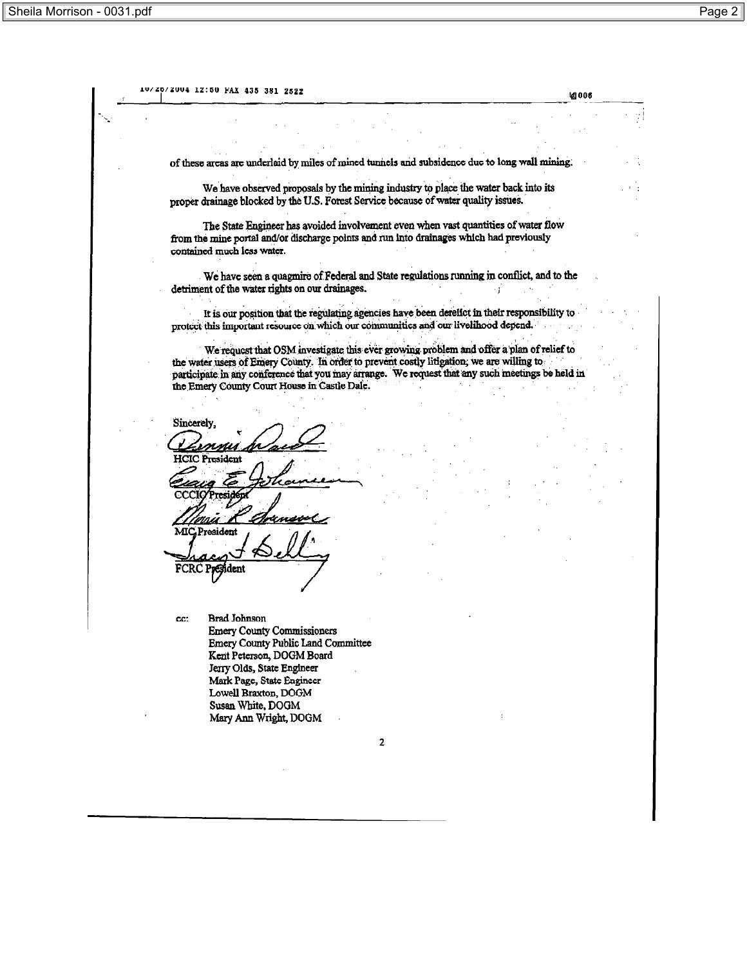10/20/2004 12:50 FAX 435 381 2522 **VA 006** of these areas are underlaid by miles of mined tunnels and subsidence due to long wall mining. We have observed proposals by the mining industry to place the water back into its proper drainage blocked by the U.S. Forest Service because of water quality issues. The State Engineer has avoided involvement even when vast quantities of water flow from the mine portal and/or discharge points and run into drainages which had previously contained much less water. We have seen a quagmire of Federal and State regulations running in conflict, and to the detriment of the water rights on our drainages.  $\cdot$  1 It is our position that the regulating agencies have been derelict in their responsibility to protect this important resource on which our communities and our livelihood depend. We request that OSM investigate this ever growing problem and offer a plan of relief to the water users of Emery County. In order to prevent costly litigation, we are willing to participate in any conference that you may arrange. We request that any such meetings be held in the Emery County Court House in Castle Dale. Sincerely, нске MIC President FCRC President **Brad Johnson** cc: **Emery County Commissioners** Emery County Public Land Committee Kent Peterson, DOGM Board Jerry Olds, State Engineer Mark Page, State Engineer Lowell Braxton, DOGM Susan White, DOGM Mary Ann Wright, DOGM  $\overline{2}$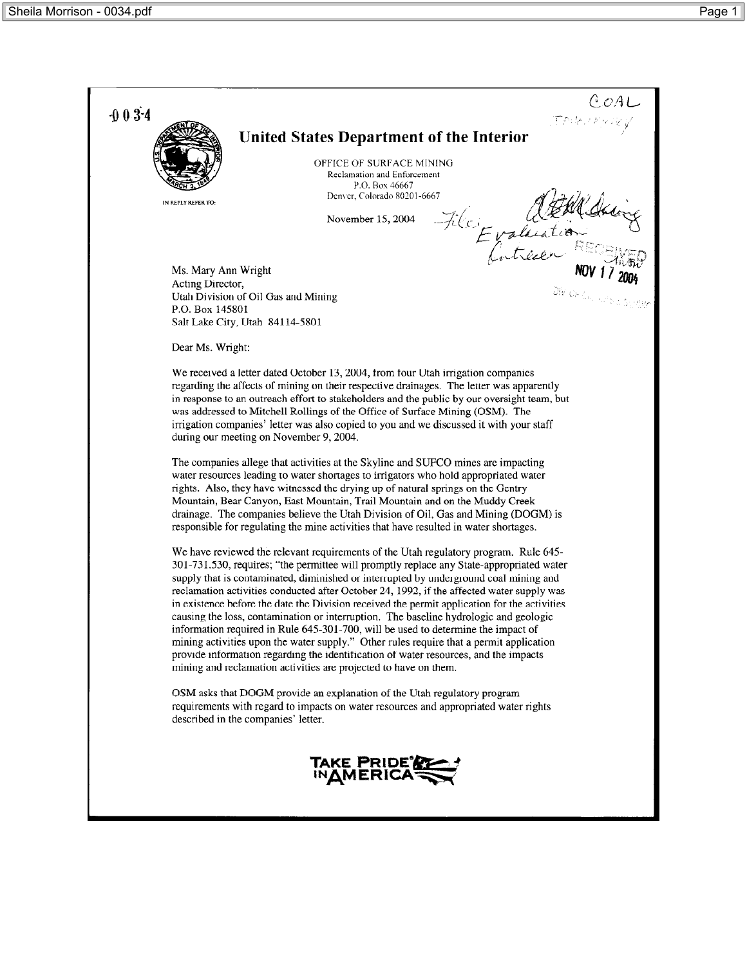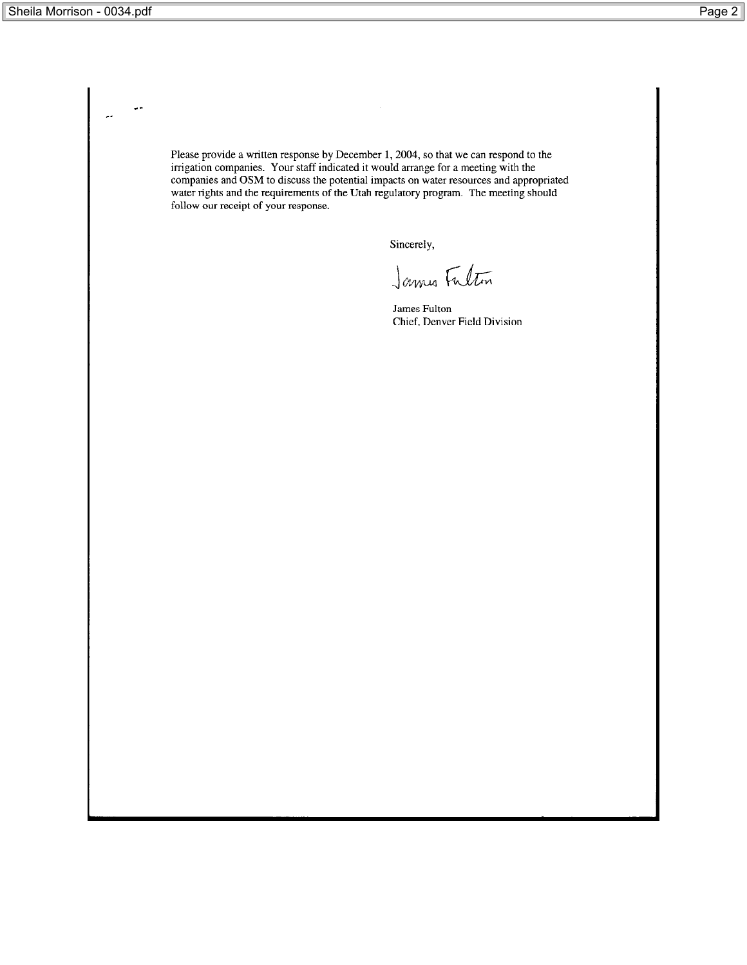Please provide a written response by December 1, 2004, so that we can respond to the irrigation companies. Your staff indicated it would arrange for a meeting with the companies and OSM to discuss the potential impacts on follow our receipt of your response.

Sincerely,

James Fulton

James Fulton Chief, Denver Field Division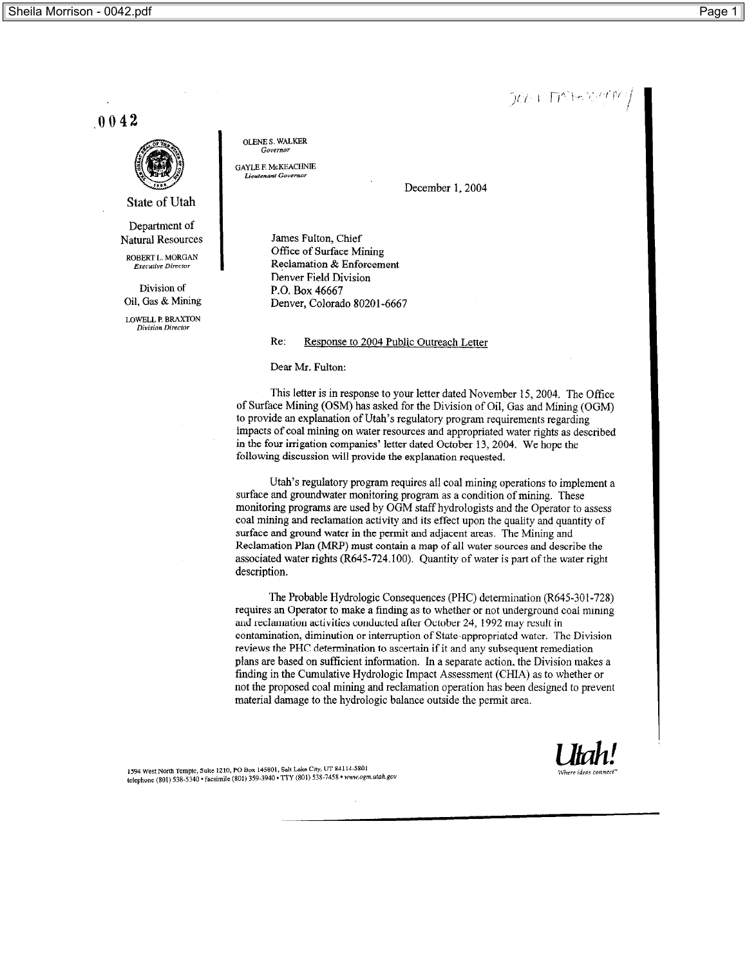$[0.74 \pm 10^{-1}]$  in Table 10  $^{\circ}$  FM  $^{\circ}$ 

 $.0042$ 



State of Utah

Department of **Natural Resources** 

ROBERT L. MORGAN .<br>Executive Director

Division of Oil, Gas & Mining

LOWELL P. BRAXTON Division Director

**OLENE S. WALKER** Governor

**GAYLE F. McKEACHNIE** ınt Governoi

December 1, 2004

James Fulton, Chief Office of Surface Mining Reclamation & Enforcement Denver Field Division P.O. Box 46667 Denver, Colorado 80201-6667

Re: Response to 2004 Public Outreach Letter

Dear Mr. Fulton:

This letter is in response to your letter dated November 15, 2004. The Office of Surface Mining (OSM) has asked for the Division of Oil, Gas and Mining (OGM) to provide an explanation of Utah's regulatory program requirements regarding impacts of coal mining on water resources and appropriated water rights as described in the four irrigation companies' letter dated October 13, 2004. We hope the following discussion will provide the explanation requested.

Utah's regulatory program requires all coal mining operations to implement a surface and groundwater monitoring program as a condition of mining. These monitoring programs are used by OGM staff hydrologists and the Operator to assess coal mining and reclamation activity and its effect upon the quality and quantity of surface and ground water in the permit and adjacent areas. The Mining and Reclamation Plan (MRP) must contain a map of all water sources and describe the associated water rights (R645-724.100). Quantity of water is part of the water right description.

The Probable Hydrologic Consequences (PHC) determination (R645-301-728) requires an Operator to make a finding as to whether or not underground coal mining and reclamation activities conducted after October 24, 1992 may result in contamination, diminution or interruption of State-appropriated water. The Division reviews the PHC determination to ascertain if it and any subsequent remediation plans are based on sufficient information. In a separate action, the Division makes a finding in the Cumulative Hydrologic Impact Assessment (CHIA) as to whether or not the proposed coal mining and reclamation operation has been designed to prevent material damage to the hydrologic balance outside the permit area.

1594 West North Temple, Suite 1210, PO Box 145801, Salt Lake City, UT 84114-5801 telephone (801) 538-5340 · facsimile (801) 359-3940 · TTY (801) 538-7458 · www.ogm.utah.gov

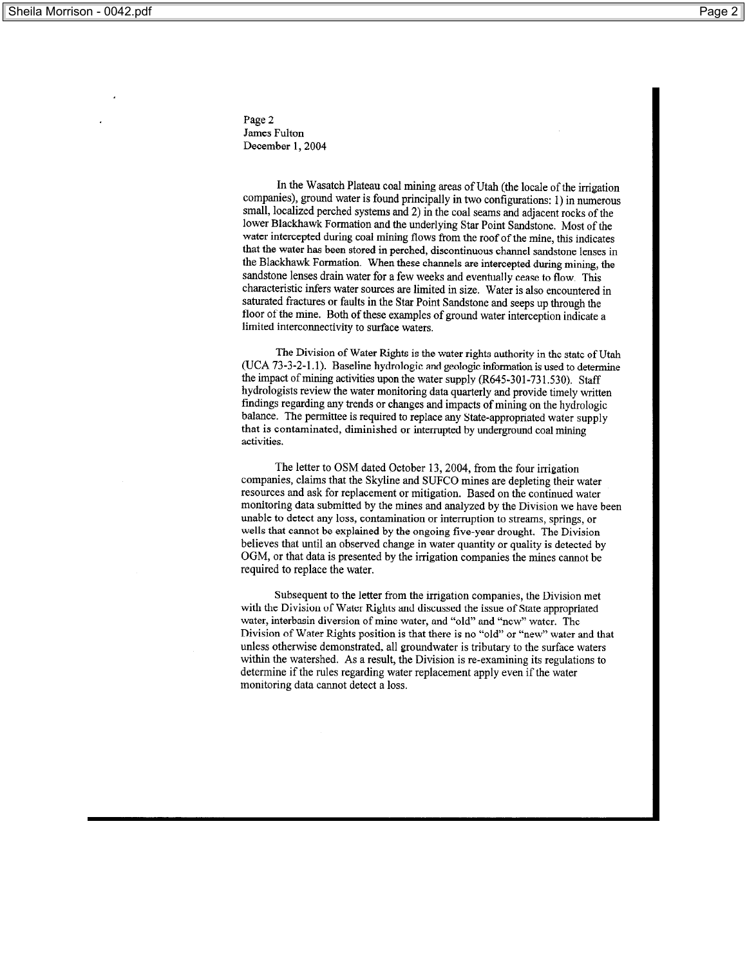Page 2 James Fulton December 1, 2004

In the Wasatch Plateau coal mining areas of Utah (the locale of the irrigation companies), ground water is found principally in two configurations: 1) in numerous small, localized perched systems and 2) in the coal seams and adjacent rocks of the lower Blackhawk Formation and the underlying Star Point Sandstone. Most of the water intercepted during coal mining flows from the roof of the mine, this indicates that the water has been stored in perched, discontinuous channel sandstone lenses in the Blackhawk Formation. When these channels are intercepted during mining, the sandstone lenses drain water for a few weeks and eventually cease to flow. This characteristic infers water sources are limited in size. Water is also encountered in saturated fractures or faults in the Star Point Sandstone and seeps up through the floor of the mine. Both of these examples of ground water interception indicate a limited interconnectivity to surface waters.

The Division of Water Rights is the water rights authority in the state of Utah (UCA 73-3-2-1.1). Baseline hydrologic and geologic information is used to determine the impact of mining activities upon the water supply (R645-301-731.530). Staff hydrologists review the water monitoring data quarterly and provide timely written findings regarding any trends or changes and impacts of mining on the hydrologic balance. The permittee is required to replace any State-appropriated water supply that is contaminated, diminished or interrupted by underground coal mining activities.

The letter to OSM dated October 13, 2004, from the four irrigation companies, claims that the Skyline and SUFCO mines are depleting their water resources and ask for replacement or mitigation. Based on the continued water monitoring data submitted by the mines and analyzed by the Division we have been unable to detect any loss, contamination or interruption to streams, springs, or wells that cannot be explained by the ongoing five-year drought. The Division believes that until an observed change in water quantity or quality is detected by OGM, or that data is presented by the irrigation companies the mines cannot be required to replace the water.

Subsequent to the letter from the irrigation companies, the Division met with the Division of Water Rights and discussed the issue of State appropriated water, interbasin diversion of mine water, and "old" and "new" water. The Division of Water Rights position is that there is no "old" or "new" water and that unless otherwise demonstrated, all groundwater is tributary to the surface waters within the watershed. As a result, the Division is re-examining its regulations to determine if the rules regarding water replacement apply even if the water monitoring data cannot detect a loss.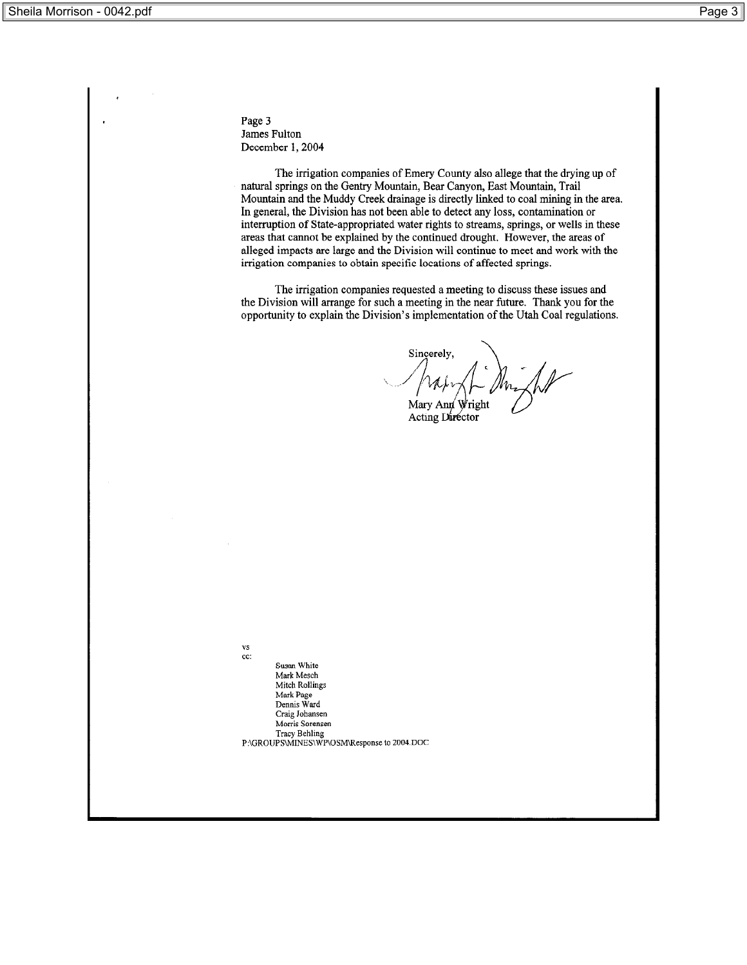Page 3 James Fulton December 1, 2004

The irrigation companies of Emery County also allege that the drying up of natural springs on the Gentry Mountain, Bear Canyon, East Mountain, Trail Mountain and the Muddy Creek drainage is directly linked to coal mining in the area. In general, the Division has not been able to detect any loss, contamination or interruption of State-appropriated water rights to streams, springs, or wells in these areas that cannot be explained by the continued drought. However, the areas of alleged impacts are large and the Division will continue to meet and work with the irrigation companies to obtain specific locations of affected springs.

The irrigation companies requested a meeting to discuss these issues and the Division will arrange for such a meeting in the near future. Thank you for the opportunity to explain the Division's implementation of the Utah Coal regulations.

Sincerely, Mary Ann Wright

Acting Director

vs cc:

Susan White Mark Mesch Mitch Rollings Mark Page Dennis Ward Craig Johansen Morris Sorensen Tracy Behling<br>P:\GROUPS\MINES\WP\OSM\Response to 2004.DOC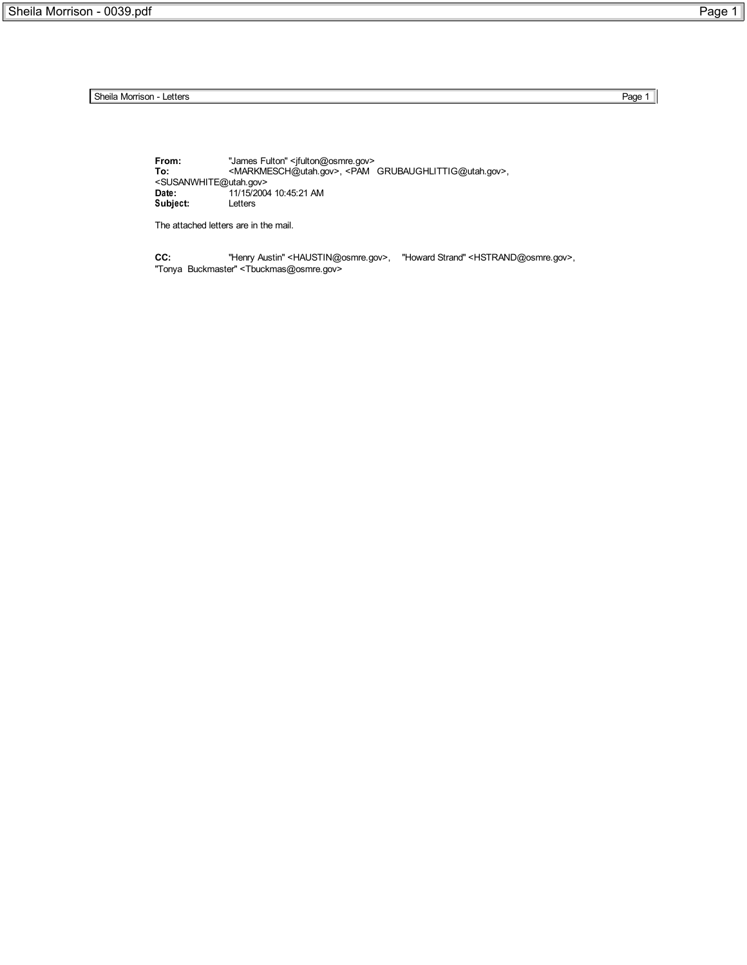Sheila Morrison - Letters Page 1

**From:** "James Fulton" <jfulton@osmre.gov> **To:** <MARKMESCH@utah.gov>, <PAM GRUBAUGHLITTIG@utah.gov>, <SUSANWHITE@utah.gov> **Date:** 11/15/2004 10:45:21 AM **Subject:** Letters

The attached letters are in the mail.

**CC:** "Henry Austin" <HAUSTIN@osmre.gov>, "Howard Strand" <HSTRAND@osmre.gov>, "Tonya Buckmaster" <Tbuckmas@osmre.gov>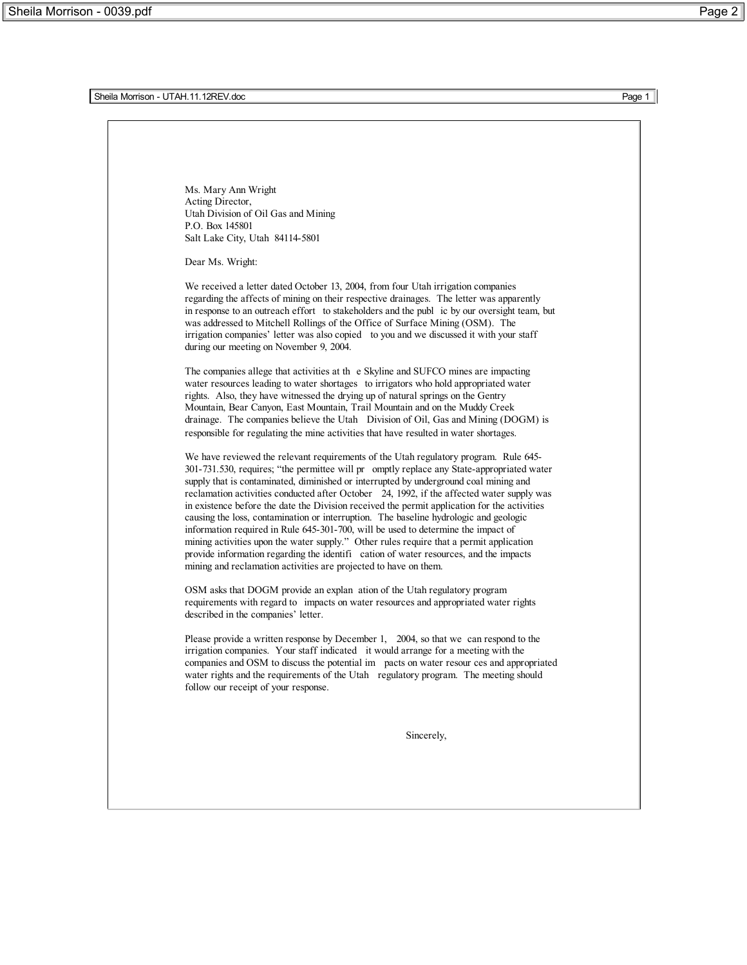Sheila Morrison - UTAH.11.12REV.doc Page 1

Ms. Mary Ann Wright Acting Director, Utah Division of Oil Gas and Mining P.O. Box 145801 Salt Lake City, Utah 84114-5801

Dear Ms. Wright:

We received a letter dated October 13, 2004, from four Utah irrigation companies regarding the affects of mining on their respective drainages. The letter was apparently in response to an outreach effort to stakeholders and the publ ic by our oversight team, but was addressed to Mitchell Rollings of the Office of Surface Mining (OSM). The irrigation companies' letter was also copied to you and we discussed it with your staff during our meeting on November 9, 2004.

The companies allege that activities at th e Skyline and SUFCO mines are impacting water resources leading to water shortages to irrigators who hold appropriated water rights. Also, they have witnessed the drying up of natural springs on the Gentry Mountain, Bear Canyon, East Mountain, Trail Mountain and on the Muddy Creek drainage. The companies believe the Utah Division of Oil, Gas and Mining (DOGM) is responsible for regulating the mine activities that have resulted in water shortages.

We have reviewed the relevant requirements of the Utah regulatory program. Rule 645- 301-731.530, requires; "the permittee will pr omptly replace any State-appropriated water supply that is contaminated, diminished or interrupted by underground coal mining and reclamation activities conducted after October 24, 1992, if the affected water supply was in existence before the date the Division received the permit application for the activities causing the loss, contamination or interruption. The baseline hydrologic and geologic information required in Rule 645-301-700, will be used to determine the impact of mining activities upon the water supply." Other rules require that a permit application provide information regarding the identifi cation of water resources, and the impacts mining and reclamation activities are projected to have on them.

OSM asks that DOGM provide an explan ation of the Utah regulatory program requirements with regard to impacts on water resources and appropriated water rights described in the companies' letter.

Please provide a written response by December 1, 2004, so that we can respond to the irrigation companies. Your staff indicated it would arrange for a meeting with the companies and OSM to discuss the potential im pacts on water resour ces and appropriated water rights and the requirements of the Utah regulatory program. The meeting should follow our receipt of your response.

Sincerely,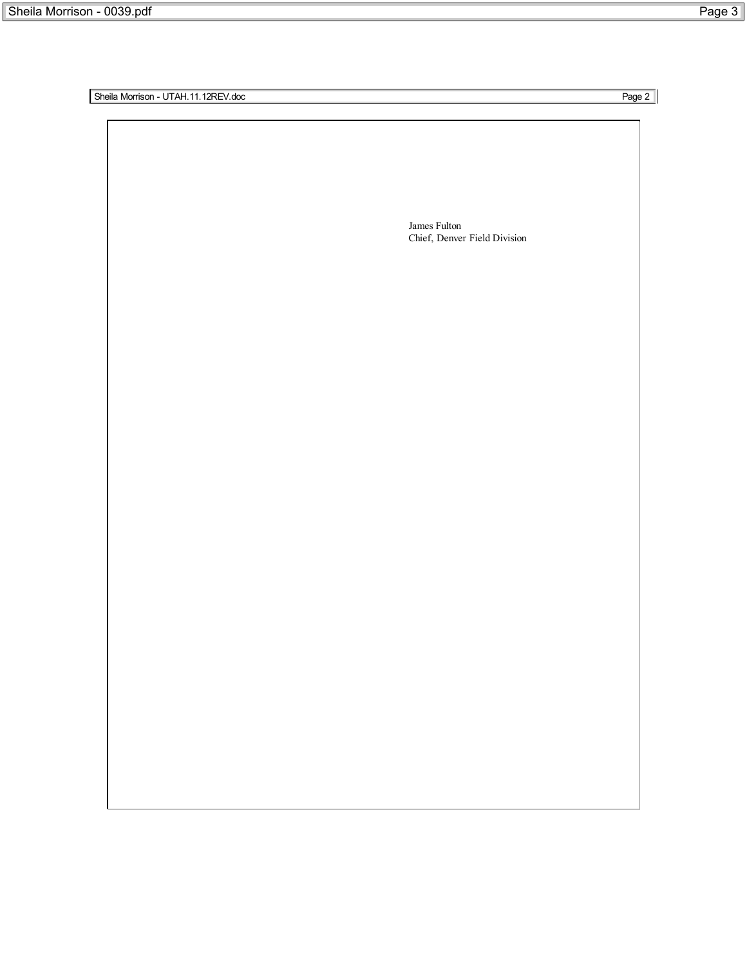Sheila Morrison - UTAH.11.12REV.doc Page 2

| James Fulton                 |
|------------------------------|
|                              |
| Chief, Denver Field Division |
|                              |
|                              |
|                              |
|                              |
|                              |
|                              |
|                              |
|                              |
|                              |
|                              |
|                              |
|                              |
|                              |
|                              |
|                              |
|                              |
|                              |
|                              |
|                              |
|                              |
|                              |
|                              |
|                              |
|                              |
|                              |
|                              |
|                              |
|                              |
|                              |
|                              |
|                              |
|                              |
|                              |
|                              |
|                              |
|                              |
|                              |
|                              |
|                              |
|                              |
|                              |
|                              |
|                              |
|                              |
|                              |
|                              |
|                              |
|                              |
|                              |
|                              |
|                              |
|                              |
|                              |
|                              |
|                              |
|                              |
|                              |
|                              |
|                              |
|                              |
|                              |
|                              |
|                              |
|                              |
|                              |
|                              |
|                              |
|                              |
|                              |
|                              |
|                              |
|                              |
|                              |
|                              |
|                              |
|                              |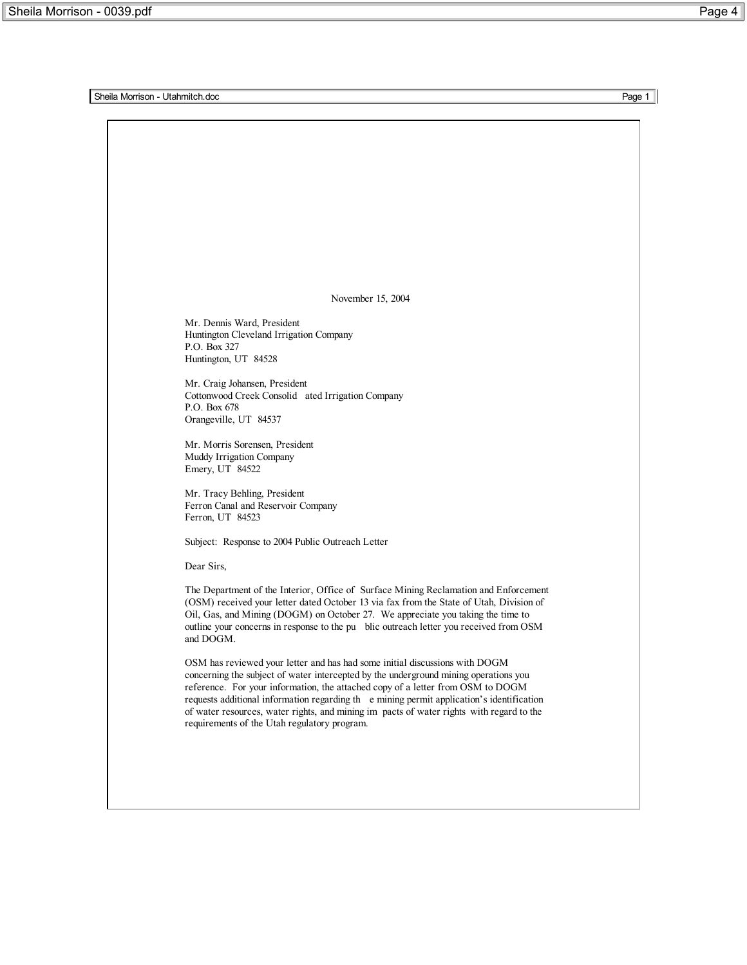Sheila Morrison - Utahmitch.doc **Page 1** 

November 15, 2004

Mr. Dennis Ward, President Huntington Cleveland Irrigation Company P.O. Box 327 Huntington, UT 84528

Mr. Craig Johansen, President Cottonwood Creek Consolid ated Irrigation Company P.O. Box 678 Orangeville, UT 84537

Mr. Morris Sorensen, President Muddy Irrigation Company Emery, UT 84522

Mr. Tracy Behling, President Ferron Canal and Reservoir Company Ferron, UT 84523

Subject: Response to 2004 Public Outreach Letter

Dear Sirs,

The Department of the Interior, Office of Surface Mining Reclamation and Enforcement (OSM) received your letter dated October 13 via fax from the State of Utah, Division of Oil, Gas, and Mining (DOGM) on October 27. We appreciate you taking the time to outline your concerns in response to the pu blic outreach letter you received from OSM and DOGM.

OSM has reviewed your letter and has had some initial discussions with DOGM concerning the subject of water intercepted by the underground mining operations you reference. For your information, the attached copy of a letter from OSM to DOGM requests additional information regarding th e mining permit application's identification of water resources, water rights, and mining im pacts of water rights with regard to the requirements of the Utah regulatory program.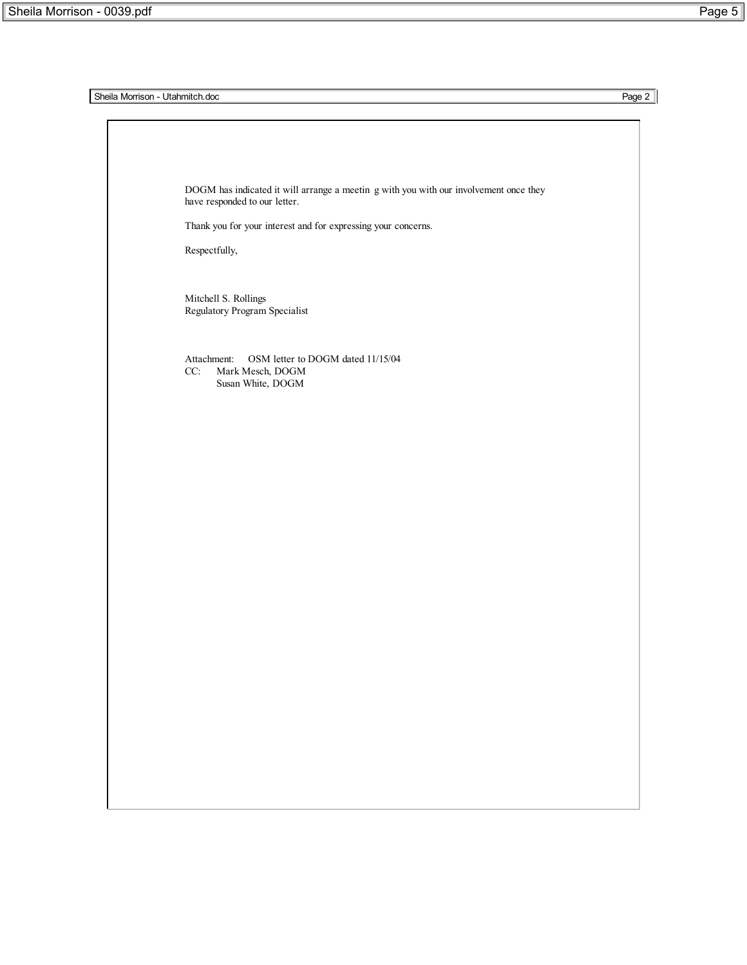**Sheila Morrison - Utahmitch.doc** Page 2 DOGM has indicated it will arrange a meetin g with you with our involvement once they have responded to our letter. Thank you for your interest and for expressing your concerns. Respectfully, Mitchell S. Rollings Regulatory Program Specialist Attachment: OSM letter to DOGM dated 11/15/04 CC: Mark Mesch, DOGM Susan White, DOGM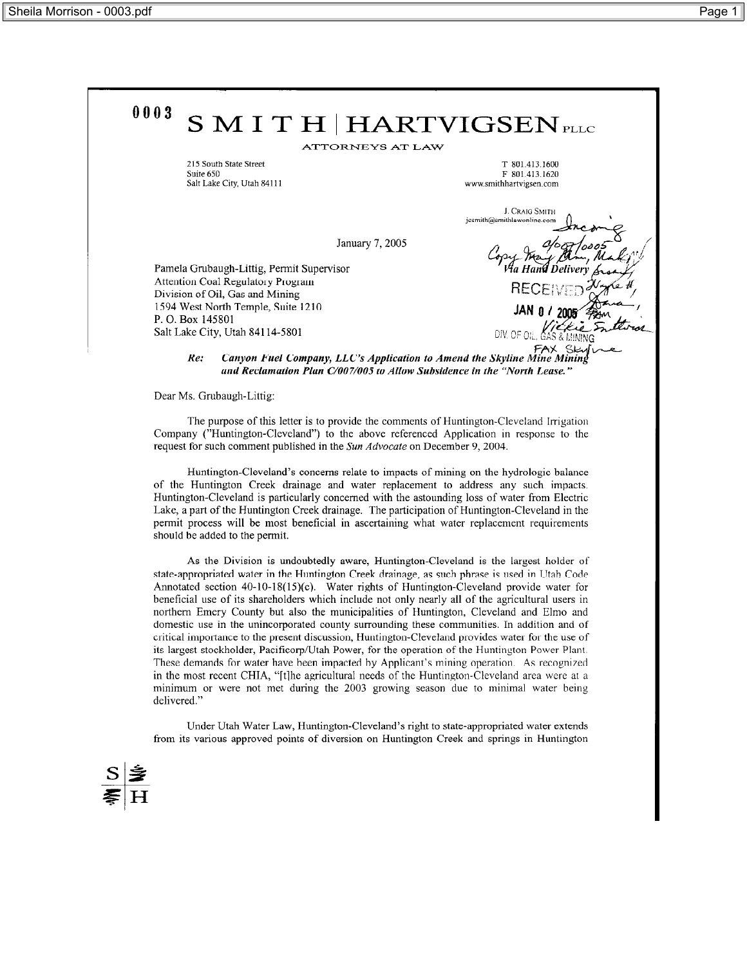

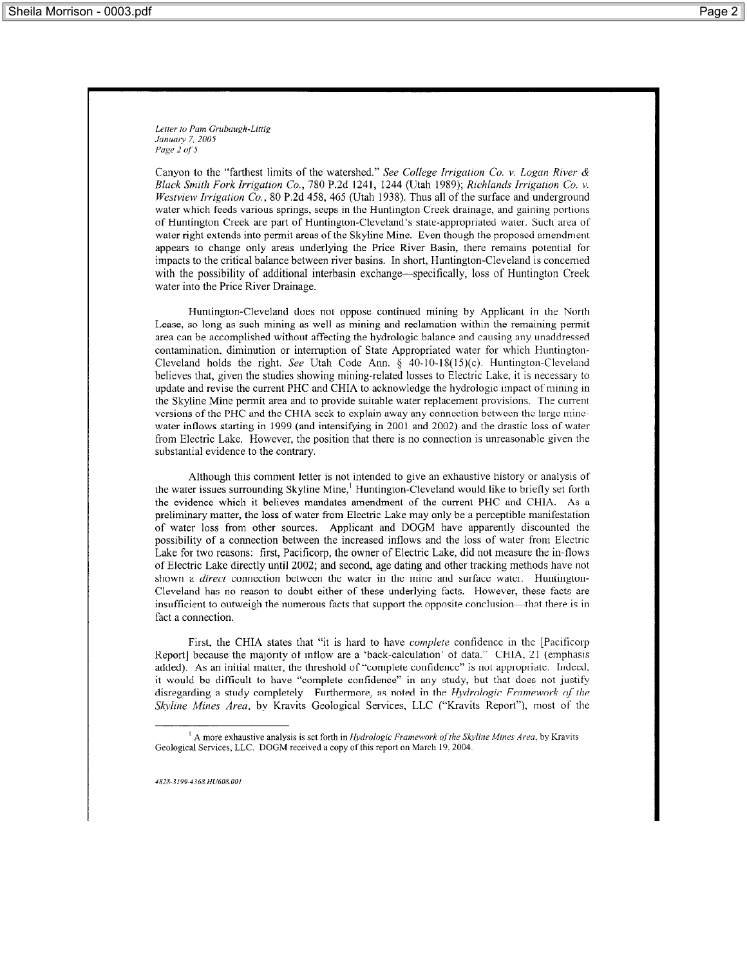Letter to Pam Grubaugh-Littig January 7, 2005 Page 2 of 5

Canyon to the "farthest limits of the watershed." See College Irrigation Co. v. Logan River & Black Smith Fork Irrigation Co., 780 P.2d 1241, 1244 (Utah 1989); Richlands Irrigation Co. v. Westview Irrigation Co., 80 P.2d 458, 465 (Utah 1938). Thus all of the surface and underground water which feeds various springs, seeps in the Huntington Creek drainage, and gaining portions of Huntington Creek are part of Huntington-Cleveland's state-appropriated water. Such area of water right extends into permit areas of the Skyline Mine. Even though the proposed amendment appears to change only areas underlying the Price River Basin, there remains potential for impacts to the critical balance between river basins. In short, Huntington-Cleveland is concerned with the possibility of additional interbasin exchange—specifically, loss of Huntington Creek water into the Price River Drainage.

Huntington-Cleveland does not oppose continued mining by Applicant in the North Lease, so long as such mining as well as mining and reclamation within the remaining permit area can be accomplished without affecting the hydrologic balance and causing any unaddressed contamination, diminution or interruption of State Appropriated water for which Huntington-Cleveland holds the right. See Utah Code Ann.  $\S$  40-10-18(15)(c). Huntington-Cleveland believes that, given the studies showing mining-related losses to Electric Lake, it is necessary to update and revise the current PHC and CHIA to acknowledge the hydrologic impact of mining in the Skyline Mine permit area and to provide suitable water replacement provisions. The current versions of the PHC and the CHIA seek to explain away any connection between the large minewater inflows starting in 1999 (and intensifying in 2001 and 2002) and the drastic loss of water from Electric Lake. However, the position that there is no connection is unreasonable given the substantial evidence to the contrary.

Although this comment letter is not intended to give an exhaustive history or analysis of the water issues surrounding Skyline Mine,<sup>1</sup> Huntington-Cleveland would like to briefly set forth the evidence which it believes mandates amendment of the current PHC and CHIA. As a preliminary matter, the loss of water from Electric Lake may only be a perceptible manifestation of water loss from other sources. Applicant and DOGM have apparently discounted the possibility of a connection between the increased inflows and the loss of water from Electric Lake for two reasons: first, Pacificorp, the owner of Electric Lake, did not measure the in-flows of Electric Lake directly until 2002; and second, age dating and other tracking methods have not shown a *direct* connection between the water in the mine and surface water. Huntington-Cleveland has no reason to doubt either of these underlying facts. However, these facts are insufficient to outweigh the numerous facts that support the opposite conclusion—that there is in fact a connection.

First, the CHIA states that "it is hard to have complete confidence in the [Pacificorp Report] because the majority of inflow are a 'back-calculation' of data." CHIA, 21 (emphasis added). As an initial matter, the threshold of "complete confidence" is not appropriate. Indeed, it would be difficult to have "complete confidence" in any study, but that does not justify disregarding a study completely. Furthermore, as noted in the Hydrologic Framework of the Skyline Mines Area, by Kravits Geological Services, LLC ("Kravits Report"), most of the

4828-3199-4368.HU608.001

 $<sup>1</sup>$  A more exhaustive analysis is set forth in *Hydrologic Framework of the Skyline Mines Area*, by Kravits</sup> Geological Services, LLC. DOGM received a copy of this report on March 19, 2004.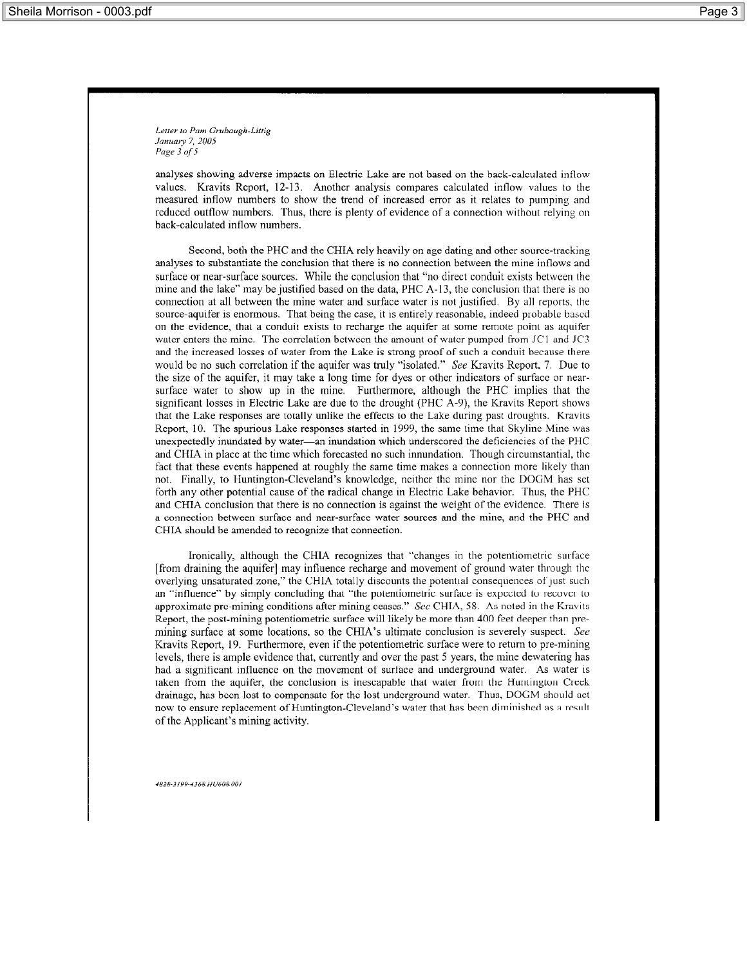Letter to Pam Grubaugh-Littig January 7, 2005 Page 3 of 5

analyses showing adverse impacts on Electric Lake are not based on the back-calculated inflow values. Kravits Report, 12-13. Another analysis compares calculated inflow values to the measured inflow numbers to show the trend of increased error as it relates to pumping and reduced outflow numbers. Thus, there is plenty of evidence of a connection without relying on back-calculated inflow numbers.

Second, both the PHC and the CHIA rely heavily on age dating and other source-tracking analyses to substantiate the conclusion that there is no connection between the mine inflows and surface or near-surface sources. While the conclusion that "no direct conduit exists between the mine and the lake" may be justified based on the data, PHC A-13, the conclusion that there is no connection at all between the mine water and surface water is not justified. By all reports, the source-aquifer is enormous. That being the case, it is entirely reasonable, indeed probable based on the evidence, that a conduit exists to recharge the aquifer at some remote point as aquifer water enters the mine. The correlation between the amount of water pumped from JC1 and JC3 and the increased losses of water from the Lake is strong proof of such a conduit because there would be no such correlation if the aquifer was truly "isolated." See Kravits Report, 7. Due to the size of the aquifer, it may take a long time for dyes or other indicators of surface or nearsurface water to show up in the mine. Furthermore, although the PHC implies that the significant losses in Electric Lake are due to the drought (PHC A-9), the Kravits Report shows that the Lake responses are totally unlike the effects to the Lake during past droughts. Kravits Report, 10. The spurious Lake responses started in 1999, the same time that Skyline Mine was unexpectedly inundated by water—an inundation which underscored the deficiencies of the PHC and CHIA in place at the time which forecasted no such innundation. Though circumstantial, the fact that these events happened at roughly the same time makes a connection more likely than not. Finally, to Huntington-Cleveland's knowledge, neither the mine nor the DOGM has set forth any other potential cause of the radical change in Electric Lake behavior. Thus, the PHC and CHIA conclusion that there is no connection is against the weight of the evidence. There is a connection between surface and near-surface water sources and the mine, and the PHC and CHIA should be amended to recognize that connection.

Ironically, although the CHIA recognizes that "changes in the potentiometric surface [from draining the aquifer] may influence recharge and movement of ground water through the overlying unsaturated zone," the CHIA totally discounts the potential consequences of just such an "influence" by simply concluding that "the potentiometric surface is expected to recover to approximate pre-mining conditions after mining ceases." See CHIA, 58. As noted in the Kravits Report, the post-mining potentiometric surface will likely be more than 400 feet deeper than premining surface at some locations, so the CHIA's ultimate conclusion is severely suspect. See Kravits Report, 19. Furthermore, even if the potentiometric surface were to return to pre-mining levels, there is ample evidence that, currently and over the past 5 years, the mine dewatering has had a significant influence on the movement of surface and underground water. As water is taken from the aquifer, the conclusion is inescapable that water from the Huntington Creek drainage, has been lost to compensate for the lost underground water. Thus, DOGM should act now to ensure replacement of Huntington-Cleveland's water that has been diminished as a result of the Applicant's mining activity.

4828-3199-4368. HU608.001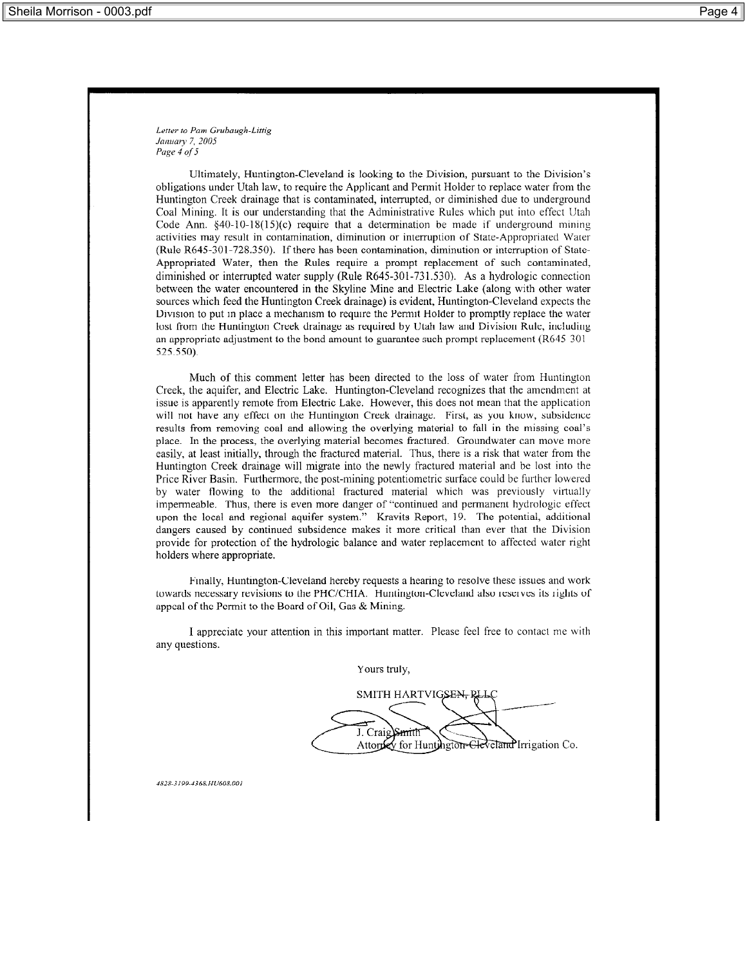Letter to Pam Grubaugh-Littig January 7, 2005 Page 4 of 5

Ultimately, Huntington-Cleveland is looking to the Division, pursuant to the Division's obligations under Utah law, to require the Applicant and Permit Holder to replace water from the Huntington Creek drainage that is contaminated, interrupted, or diminished due to underground Coal Mining. It is our understanding that the Administrative Rules which put into effect Utah Code Ann.  $\S40-10-18(15)(c)$  require that a determination be made if underground mining activities may result in contamination, diminution or interruption of State-Appropriated Water (Rule R645-301-728.350). If there has been contamination, diminution or interruption of State-Appropriated Water, then the Rules require a prompt replacement of such contaminated, diminished or interrupted water supply (Rule R645-301-731.530). As a hydrologic connection between the water encountered in the Skyline Mine and Electric Lake (along with other water sources which feed the Huntington Creek drainage) is evident, Huntington-Cleveland expects the Division to put in place a mechanism to require the Permit Holder to promptly replace the water lost from the Huntington Creek drainage as required by Utah law and Division Rule, including an appropriate adjustment to the bond amount to guarantee such prompt replacement  $(R645-301)$ 525.550).

Much of this comment letter has been directed to the loss of water from Huntington Creek, the aquifer, and Electric Lake. Huntington-Cleveland recognizes that the amendment at issue is apparently remote from Electric Lake. However, this does not mean that the application will not have any effect on the Huntington Creek drainage. First, as you know, subsidence results from removing coal and allowing the overlying material to fall in the missing coal's place. In the process, the overlying material becomes fractured. Groundwater can move more easily, at least initially, through the fractured material. Thus, there is a risk that water from the Huntington Creek drainage will migrate into the newly fractured material and be lost into the Price River Basin. Furthermore, the post-mining potentiometric surface could be further lowered by water flowing to the additional fractured material which was previously virtually impermeable. Thus, there is even more danger of "continued and permanent hydrologic effect upon the local and regional aquifer system." Kravits Report, 19. The potential, additional dangers caused by continued subsidence makes it more critical than ever that the Division provide for protection of the hydrologic balance and water replacement to affected water right holders where appropriate.

Finally, Huntington-Cleveland hereby requests a hearing to resolve these issues and work towards necessary revisions to the PHC/CHIA. Huntington-Cleveland also reserves its rights of appeal of the Permit to the Board of Oil, Gas & Mining.

I appreciate your attention in this important matter. Please feel free to contact me with any questions.

Yours truly,

SMITH HARTVIGSEN, J. Craig\Smith Attorney for Huntington-Gleveland Irrigation Co.

4828-3100-4368. HU608.001